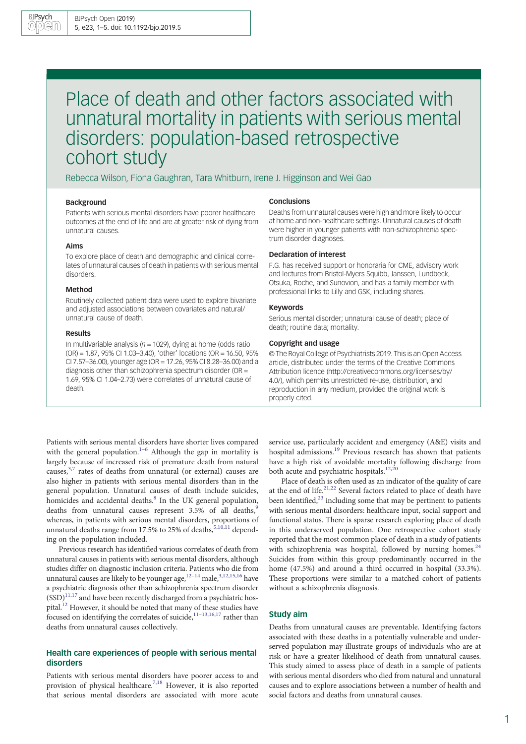# Place of death and other factors associated with unnatural mortality in patients with serious mental disorders: population-based retrospective cohort study

Rebecca Wilson, Fiona Gaughran, Tara Whitburn, Irene J. Higginson and Wei Gao

### Background

Patients with serious mental disorders have poorer healthcare outcomes at the end of life and are at greater risk of dying from unnatural causes.

## Aims

To explore place of death and demographic and clinical correlates of unnatural causes of death in patients with serious mental disorders.

### Method

Routinely collected patient data were used to explore bivariate and adjusted associations between covariates and natural/ unnatural cause of death.

### Results

In multivariable analysis ( $n = 1029$ ), dying at home (odds ratio (OR) = 1.87, 95% CI 1.03–3.40), 'other' locations (OR = 16.50, 95% CI 7.57–36.00), younger age (OR = 17.26, 95% CI 8.28–36.00) and a diagnosis other than schizophrenia spectrum disorder (OR  $=$ 1.69, 95% CI 1.04–2.73) were correlates of unnatural cause of death.

### Conclusions

Deaths from unnatural causes were high and more likely to occur at home and non-healthcare settings. Unnatural causes of death were higher in younger patients with non-schizophrenia spectrum disorder diagnoses.

### Declaration of interest

F.G. has received support or honoraria for CME, advisory work and lectures from Bristol-Myers Squibb, Janssen, Lundbeck, Otsuka, Roche, and Sunovion, and has a family member with professional links to Lilly and GSK, including shares.

### Keywords

Serious mental disorder; unnatural cause of death; place of death; routine data; mortality.

### Copyright and usage

© The Royal College of Psychiatrists 2019. This is an Open Access article, distributed under the terms of the Creative Commons Attribution licence (http://creativecommons.org/licenses/by/ 4.0/), which permits unrestricted re-use, distribution, and reproduction in any medium, provided the original work is properly cited.

Patients with serious mental disorders have shorter lives compared with the general population.<sup>1–[6](#page-4-0)</sup> Although the gap in mortality is largely because of increased risk of premature death from natural causes, $3,7$  $3,7$  $3,7$  rates of deaths from unnatural (or external) causes are also higher in patients with serious mental disorders than in the general population. Unnatural causes of death include suicides, homicides and accidental deaths.<sup>[8](#page-4-0)</sup> In the UK general population, deaths from unnatural causes represent  $3.5\%$  of all deaths,<sup>[9](#page-4-0)</sup> whereas, in patients with serious mental disorders, proportions of unnatural deaths range from 17.5% to 25% of deaths, [5,10,11](#page-4-0) depending on the population included.

Previous research has identified various correlates of death from unnatural causes in patients with serious mental disorders, although studies differ on diagnostic inclusion criteria. Patients who die from unnatural causes are likely to be younger age, $12-14$  $12-14$  male, $3,12,15,16$  $3,12,15,16$  $3,12,15,16$  $3,12,15,16$  have a psychiatric diagnosis other than schizophrenia spectrum disorder  $(SSD)^{11,17}$  and have been recently discharged from a psychiatric hospital[.12](#page-4-0) However, it should be noted that many of these studies have focused on identifying the correlates of suicide, $11-13,16,17$  $11-13,16,17$  $11-13,16,17$  rather than deaths from unnatural causes collectively.

# Health care experiences of people with serious mental disorders

Patients with serious mental disorders have poorer access to and provision of physical healthcare.<sup>[7](#page-4-0),[18](#page-4-0)</sup> However, it is also reported that serious mental disorders are associated with more acute service use, particularly accident and emergency (A&E) visits and hospital admissions.[19](#page-4-0) Previous research has shown that patients have a high risk of avoidable mortality following discharge from both acute and psychiatric hospitals.<sup>[12,20](#page-4-0)</sup>

Place of death is often used as an indicator of the quality of care at the end of life.<sup>[21,22](#page-4-0)</sup> Several factors related to place of death have been identified, $2<sup>3</sup>$  including some that may be pertinent to patients with serious mental disorders: healthcare input, social support and functional status. There is sparse research exploring place of death in this underserved population. One retrospective cohort study reported that the most common place of death in a study of patients with schizophrenia was hospital, followed by nursing homes.<sup>24</sup> Suicides from within this group predominantly occurred in the home (47.5%) and around a third occurred in hospital (33.3%). These proportions were similar to a matched cohort of patients without a schizophrenia diagnosis.

# Study aim

Deaths from unnatural causes are preventable. Identifying factors associated with these deaths in a potentially vulnerable and underserved population may illustrate groups of individuals who are at risk or have a greater likelihood of death from unnatural causes. This study aimed to assess place of death in a sample of patients with serious mental disorders who died from natural and unnatural causes and to explore associations between a number of health and social factors and deaths from unnatural causes.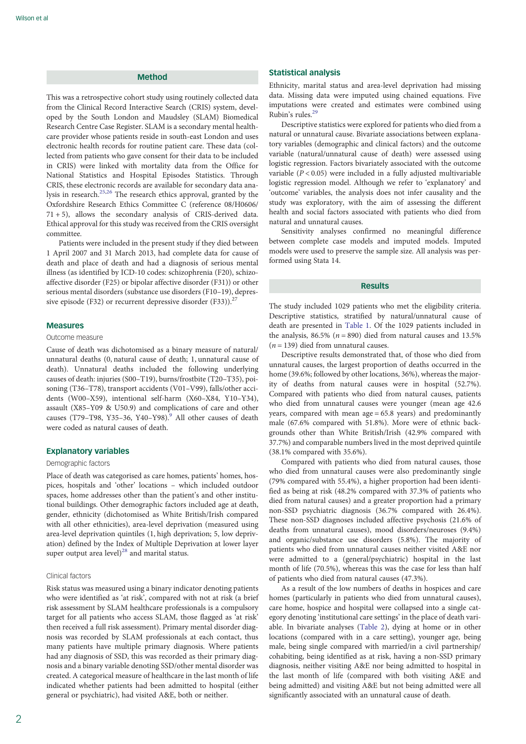# Method

This was a retrospective cohort study using routinely collected data from the Clinical Record Interactive Search (CRIS) system, developed by the South London and Maudsley (SLAM) Biomedical Research Centre Case Register. SLAM is a secondary mental healthcare provider whose patients reside in south-east London and uses electronic health records for routine patient care. These data (collected from patients who gave consent for their data to be included in CRIS) were linked with mortality data from the Office for National Statistics and Hospital Episodes Statistics. Through CRIS, these electronic records are available for secondary data analysis in research.[25](#page-4-0),[26](#page-4-0) The research ethics approval, granted by the Oxfordshire Research Ethics Committee C (reference 08/H0606/ 71 + 5), allows the secondary analysis of CRIS-derived data. Ethical approval for this study was received from the CRIS oversight committee.

Patients were included in the present study if they died between 1 April 2007 and 31 March 2013, had complete data for cause of death and place of death and had a diagnosis of serious mental illness (as identified by ICD-10 codes: schizophrenia (F20), schizoaffective disorder (F25) or bipolar affective disorder (F31)) or other serious mental disorders (substance use disorders (F10–19), depressive episode (F32) or recurrent depressive disorder (F33)).<sup>2</sup>

### Measures

#### Outcome measure

Cause of death was dichotomised as a binary measure of natural/ unnatural deaths (0, natural cause of death; 1, unnatural cause of death). Unnatural deaths included the following underlying causes of death: injuries (S00–T19), burns/frostbite (T20–T35), poisoning (T36–T78), transport accidents (V01–V99), falls/other accidents (W00–X59), intentional self-harm (X60–X84, Y10–Y34), assault (X85–Y09 & U50.9) and complications of care and other causes (T7[9](#page-4-0)–T98, Y35–36, Y40–Y98). $9$  All other causes of death were coded as natural causes of death.

## Explanatory variables

### Demographic factors

Place of death was categorised as care homes, patients' homes, hospices, hospitals and 'other' locations – which included outdoor spaces, home addresses other than the patient's and other institutional buildings. Other demographic factors included age at death, gender, ethnicity (dichotomised as White British/Irish compared with all other ethnicities), area-level deprivation (measured using area-level deprivation quintiles (1, high deprivation; 5, low deprivation) defined by the Index of Multiple Deprivation at lower layer super output area level) $^{28}$  $^{28}$  $^{28}$  and marital status.

### Clinical factors

Risk status was measured using a binary indicator denoting patients who were identified as 'at risk', compared with not at risk (a brief risk assessment by SLAM healthcare professionals is a compulsory target for all patients who access SLAM, those flagged as 'at risk' then received a full risk assessment). Primary mental disorder diagnosis was recorded by SLAM professionals at each contact, thus many patients have multiple primary diagnosis. Where patients had any diagnosis of SSD, this was recorded as their primary diagnosis and a binary variable denoting SSD/other mental disorder was created. A categorical measure of healthcare in the last month of life indicated whether patients had been admitted to hospital (either general or psychiatric), had visited A&E, both or neither.

# Statistical analysis

Ethnicity, marital status and area-level deprivation had missing data. Missing data were imputed using chained equations. Five imputations were created and estimates were combined using Rubin's rules[.29](#page-4-0)

Descriptive statistics were explored for patients who died from a natural or unnatural cause. Bivariate associations between explanatory variables (demographic and clinical factors) and the outcome variable (natural/unnatural cause of death) were assessed using logistic regression. Factors bivariately associated with the outcome variable  $(P < 0.05)$  were included in a fully adjusted multivariable logistic regression model. Although we refer to 'explanatory' and 'outcome' variables, the analysis does not infer causality and the study was exploratory, with the aim of assessing the different health and social factors associated with patients who died from natural and unnatural causes.

Sensitivity analyses confirmed no meaningful difference between complete case models and imputed models. Imputed models were used to preserve the sample size. All analysis was performed using Stata 14.

# Results

The study included 1029 patients who met the eligibility criteria. Descriptive statistics, stratified by natural/unnatural cause of death are presented in [Table 1](#page-2-0). Of the 1029 patients included in the analysis, 86.5% ( $n = 890$ ) died from natural causes and 13.5%  $(n = 139)$  died from unnatural causes.

Descriptive results demonstrated that, of those who died from unnatural causes, the largest proportion of deaths occurred in the home (39.6%; followed by other locations, 36%), whereas the majority of deaths from natural causes were in hospital (52.7%). Compared with patients who died from natural causes, patients who died from unnatural causes were younger (mean age 42.6 years, compared with mean age = 65.8 years) and predominantly male (67.6% compared with 51.8%). More were of ethnic backgrounds other than White British/Irish (42.9% compared with 37.7%) and comparable numbers lived in the most deprived quintile (38.1% compared with 35.6%).

Compared with patients who died from natural causes, those who died from unnatural causes were also predominantly single (79% compared with 55.4%), a higher proportion had been identified as being at risk (48.2% compared with 37.3% of patients who died from natural causes) and a greater proportion had a primary non-SSD psychiatric diagnosis (36.7% compared with 26.4%). These non-SSD diagnoses included affective psychosis (21.6% of deaths from unnatural causes), mood disorders/neuroses (9.4%) and organic/substance use disorders (5.8%). The majority of patients who died from unnatural causes neither visited A&E nor were admitted to a (general/psychiatric) hospital in the last month of life (70.5%), whereas this was the case for less than half of patients who died from natural causes (47.3%).

As a result of the low numbers of deaths in hospices and care homes (particularly in patients who died from unnatural causes), care home, hospice and hospital were collapsed into a single category denoting 'institutional care settings' in the place of death variable. In bivariate analyses [\(Table 2](#page-2-0)), dying at home or in other locations (compared with in a care setting), younger age, being male, being single compared with married/in a civil partnership/ cohabiting, being identified as at risk, having a non-SSD primary diagnosis, neither visiting A&E nor being admitted to hospital in the last month of life (compared with both visiting A&E and being admitted) and visiting A&E but not being admitted were all significantly associated with an unnatural cause of death.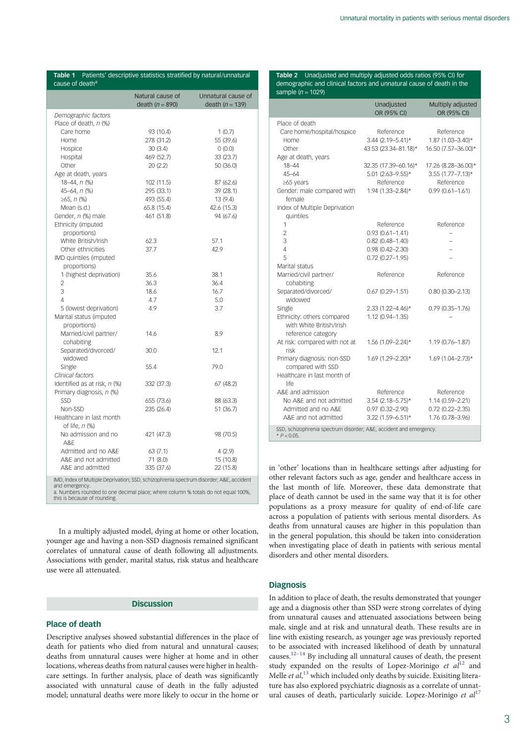<span id="page-2-0"></span>

|                                              | Natural cause of<br>death $(n = 890)$ | Unnatural cause of<br>death $(n = 139)$ |
|----------------------------------------------|---------------------------------------|-----------------------------------------|
| Demographic factors                          |                                       |                                         |
| Place of death, n (%)                        |                                       |                                         |
| Care home                                    | 93 (10.4)                             | 1(0.7)                                  |
| Home                                         | 278 (31.2)                            | 55 (39.6)                               |
| Hospice                                      | 30(3.4)                               | 0(0.0)                                  |
| Hospital                                     | 469 (52.7)                            | 33 (23.7)                               |
| Other                                        | 20(2.2)                               | 50 (36.0)                               |
| Age at death, years                          |                                       |                                         |
| $18 - 44$ , $n$ (%)                          | 102 (11.5)                            | 87 (62.6)                               |
| $45 - 64, n$ (%)                             | 295 (33.1)                            | 39 (28.1)                               |
| ≥65, $n$ (%)                                 | 493 (55.4)                            | 13(9.4)                                 |
| Mean (s.d.)                                  | 65.8 (15.4)                           | 42.6 (15.3)                             |
| Gender, n (%) male                           | 461 (51.8)                            | 94 (67.6)                               |
| Ethnicity (imputed                           |                                       |                                         |
| proportions)                                 |                                       |                                         |
| White British/Irish                          | 62.3                                  | 57.1                                    |
| Other ethnicities                            | 37.7                                  | 42.9                                    |
| IMD quintiles (imputed                       |                                       |                                         |
| proportions)                                 |                                       |                                         |
| 1 (highest deprivation)                      | 35.6                                  | 38.1                                    |
| $\overline{2}$                               | 36.3                                  | 36.4                                    |
| 3                                            | 18.6                                  | 16.7                                    |
| 4                                            | 4.7                                   | 5.0                                     |
| 5 (lowest deprivation)                       | 4.9                                   | 3.7                                     |
| Marital status (imputed                      |                                       |                                         |
| proportions)                                 |                                       |                                         |
| Married/civil partner/                       | 14.6                                  | 8.9                                     |
| cohabiting                                   |                                       |                                         |
| Separated/divorced/                          | 30.0                                  | 12.1                                    |
| widowed                                      |                                       |                                         |
| Single                                       | 55.4                                  | 79.0                                    |
| Clinical factors                             |                                       |                                         |
| Identified as at risk, n (%)                 | 332 (37.3)                            | 67 (48.2)                               |
| Primary diagnosis, n (%)                     |                                       |                                         |
| <b>SSD</b>                                   | 655 (73.6)                            | 88 (63.3)                               |
| Non-SSD                                      | 235 (26.4)                            | 51 (36.7)                               |
| Healthcare in last month<br>of life, $n$ (%) |                                       |                                         |
| No admission and no<br>A&F                   | 421 (47.3)                            | 98 (70.5)                               |
| Admitted and no A&E                          | 63(7.1)                               | 4(2.9)                                  |
| A&E and not admitted                         | 71 (8.0)                              | 15 (10.8)                               |
| A&E and admitted                             | 335 (37.6)                            | 22 (15.8)                               |

and emergency. a. Numbers rounded to one decimal place; where column % totals do not equal 100%, this is because of rounding.

In a multiply adjusted model, dying at home or other location, younger age and having a non-SSD diagnosis remained significant correlates of unnatural cause of death following all adjustments. Associations with gender, marital status, risk status and healthcare use were all attenuated.

# Discussion

# Place of death

Descriptive analyses showed substantial differences in the place of death for patients who died from natural and unnatural causes; deaths from unnatural causes were higher at home and in other locations, whereas deaths from natural causes were higher in healthcare settings. In further analysis, place of death was significantly associated with unnatural cause of death in the fully adjusted model; unnatural deaths were more likely to occur in the home or

Table 2 Unadjusted and multiply adjusted odds ratios (95% CI) for demographic and clinical factors and unnatural cause of death in the sample ( $n = 1029$ )

|                                                                                      | Unadjusted<br>OR (95% CI) | Multiply adjusted<br>OR (95% CI) |  |
|--------------------------------------------------------------------------------------|---------------------------|----------------------------------|--|
| Place of death                                                                       |                           |                                  |  |
| Care home/hospital/hospice                                                           | Reference                 | Reference                        |  |
| Home                                                                                 | $3.44$ (2.19-5.41)*       | 1.87 (1.03-3.40)*                |  |
| Other                                                                                | 43.53 (23.34-81.18)*      | 16.50 (7.57-36.00)*              |  |
| Age at death, years                                                                  |                           |                                  |  |
| $18 - 44$                                                                            | 32.35 (17.39-60.16)*      | 17.26 (8.28-36.00)*              |  |
| $45 - 64$                                                                            | 5.01 (2.63-9.55)*         | $3.55$ (1.77-7.13)*              |  |
| ≥65 years                                                                            | Reference                 | Reference                        |  |
| Gender: male compared with                                                           | 1.94 (1.33-2.84)*         | $0.99(0.61 - 1.61)$              |  |
| female                                                                               |                           |                                  |  |
| Index of Multiple Deprivation                                                        |                           |                                  |  |
| quintiles                                                                            |                           |                                  |  |
| 1                                                                                    | Reference                 | Reference                        |  |
| $\overline{2}$                                                                       | $0.93(0.61 - 1.41)$       |                                  |  |
| 3                                                                                    | $0.82$ (0.48-1.40)        |                                  |  |
| 4                                                                                    | $0.98(0.42 - 2.30)$       |                                  |  |
| 5                                                                                    | $0.72$ (0.27-1.95)        |                                  |  |
| Marital status                                                                       |                           |                                  |  |
| Married/civil partner/                                                               | Reference                 | Reference                        |  |
| cohabiting                                                                           |                           |                                  |  |
| Separated/divorced/                                                                  | $0.67(0.29 - 1.51)$       | $0.80(0.30 - 2.13)$              |  |
| widowed                                                                              |                           |                                  |  |
| Single                                                                               | $2.33$ (1.22-4.46)*       | $0.79(0.35 - 1.76)$              |  |
| Ethnicity: others compared                                                           | 1.12 (0.94-1.35)          |                                  |  |
| with White British/Irish                                                             |                           |                                  |  |
| reference category                                                                   |                           |                                  |  |
| At risk: compared with not at                                                        | 1.56 (1.09-2.24)*         | 1.19 (0.76-1.87)                 |  |
| risk                                                                                 |                           |                                  |  |
| Primary diagnosis: non-SSD                                                           | 1.69 (1.29-2.20)*         | 1.69 (1.04-2.73)*                |  |
| compared with SSD                                                                    |                           |                                  |  |
| Healthcare in last month of<br>life                                                  |                           |                                  |  |
| A&F and admission                                                                    | Reference                 | Reference                        |  |
| No A&E and not admitted                                                              | $3.54$ (2.18-5.75)*       | 1.14 (0.59-2.21)                 |  |
| Admitted and no A&F                                                                  | $0.97(0.32 - 2.90)$       | $0.72(0.22 - 2.35)$              |  |
| A&F and not admitted                                                                 | $3.22$ (1.59-6.51)*       | 1.76 (0.78-3.96)                 |  |
| SSD, schizophrenia spectrum disorder; A&E, accident and emergency.<br>* $P < 0.05$ . |                           |                                  |  |

in 'other' locations than in healthcare settings after adjusting for other relevant factors such as age, gender and healthcare access in the last month of life. Moreover, these data demonstrate that place of death cannot be used in the same way that it is for other populations as a proxy measure for quality of end-of-life care across a population of patients with serious mental disorders. As deaths from unnatural causes are higher in this population than in the general population, this should be taken into consideration when investigating place of death in patients with serious mental disorders and other mental disorders.

# **Diagnosis**

In addition to place of death, the results demonstrated that younger age and a diagnosis other than SSD were strong correlates of dying from unnatural causes and attenuated associations between being male, single and at risk and unnatural death. These results are in line with existing research, as younger age was previously reported to be associated with increased likelihood of death by unnatural causes.<sup>[12](#page-4-0)–[14](#page-4-0)</sup> By including all unnatural causes of death, the present study expanded on the results of Lopez-Morinigo et  $aI^{12}$  $aI^{12}$  $aI^{12}$  and Melle et al,<sup>[13](#page-4-0)</sup> which included only deaths by suicide. Exisiting literature has also explored psychiatric diagnosis as a correlate of unnatural causes of death, particularly suicide. Lopez-Morinigo et  $al^{17}$  $al^{17}$  $al^{17}$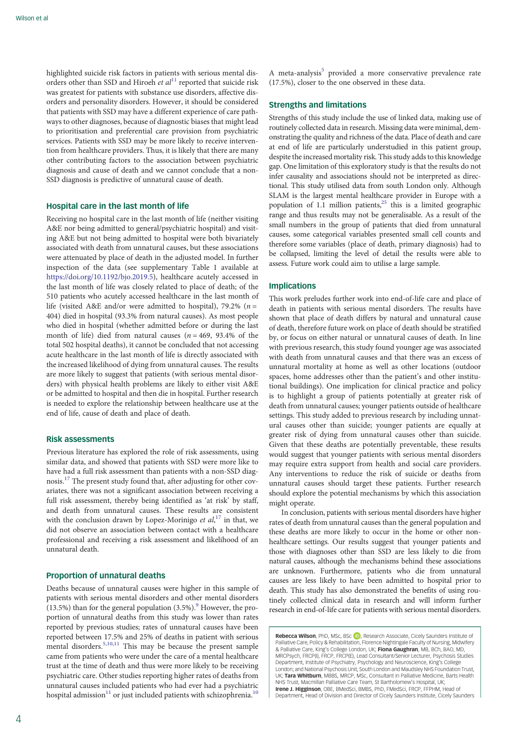highlighted suicide risk factors in patients with serious mental disorders other than SSD and Hiroeh et  $al<sup>11</sup>$  $al<sup>11</sup>$  $al<sup>11</sup>$  reported that suicide risk was greatest for patients with substance use disorders, affective disorders and personality disorders. However, it should be considered that patients with SSD may have a different experience of care pathways to other diagnoses, because of diagnostic biases that might lead to prioritisation and preferential care provision from psychiatric services. Patients with SSD may be more likely to receive intervention from healthcare providers. Thus, it is likely that there are many other contributing factors to the association between psychiatric diagnosis and cause of death and we cannot conclude that a non-SSD diagnosis is predictive of unnatural cause of death.

### Hospital care in the last month of life

Receiving no hospital care in the last month of life (neither visiting A&E nor being admitted to general/psychiatric hospital) and visiting A&E but not being admitted to hospital were both bivariately associated with death from unnatural causes, but these associations were attenuated by place of death in the adjusted model. In further inspection of the data (see supplementary Table 1 available at <https://doi.org/10.1192/bjo.2019.5>), healthcare acutely accessed in the last month of life was closely related to place of death; of the 510 patients who acutely accessed healthcare in the last month of life (visited A&E and/or were admitted to hospital), 79.2% ( $n =$ 404) died in hospital (93.3% from natural causes). As most people who died in hospital (whether admitted before or during the last month of life) died from natural causes ( $n = 469, 93.4\%$  of the total 502 hospital deaths), it cannot be concluded that not accessing acute healthcare in the last month of life is directly associated with the increased likelihood of dying from unnatural causes. The results are more likely to suggest that patients (with serious mental disorders) with physical health problems are likely to either visit A&E or be admitted to hospital and then die in hospital. Further research is needed to explore the relationship between healthcare use at the end of life, cause of death and place of death.

# Risk assessments

Previous literature has explored the role of risk assessments, using similar data, and showed that patients with SSD were more like to have had a full risk assessment than patients with a non-SSD diagnosis.[17](#page-4-0) The present study found that, after adjusting for other covariates, there was not a significant association between receiving a full risk assessment, thereby being identified as 'at risk' by staff, and death from unnatural causes. These results are consistent with the conclusion drawn by Lopez-Morinigo et  $al$ ,<sup>[17](#page-4-0)</sup> in that, we did not observe an association between contact with a healthcare professional and receiving a risk assessment and likelihood of an unnatural death.

# Proportion of unnatural deaths

Deaths because of unnatural causes were higher in this sample of patients with serious mental disorders and other mental disorders (13.5%) than for the general population  $(3.5\%)$ . However, the proportion of unnatural deaths from this study was lower than rates reported by previous studies; rates of unnatural causes have been reported between 17.5% and 25% of deaths in patient with serious mental disorders.<sup>[5](#page-4-0),[10](#page-4-0),[11](#page-4-0)</sup> This may be because the present sample came from patients who were under the care of a mental healthcare trust at the time of death and thus were more likely to be receiving psychiatric care. Other studies reporting higher rates of deaths from unnatural causes included patients who had ever had a psychiatric hospital admission<sup>[11](#page-4-0)</sup> or just included patients with schizophrenia.<sup>[10](#page-4-0)</sup>

A meta-analysis<sup>[5](#page-4-0)</sup> provided a more conservative prevalence rate (17.5%), closer to the one observed in these data.

### Strengths and limitations

Strengths of this study include the use of linked data, making use of routinely collected data in research. Missing data were minimal, demonstrating the quality and richness of the data. Place of death and care at end of life are particularly understudied in this patient group, despite the increased mortality risk. This study adds to this knowledge gap. One limitation of this exploratory study is that the results do not infer causality and associations should not be interpreted as directional. This study utilised data from south London only. Although SLAM is the largest mental healthcare provider in Europe with a population of 1.1 million patients, $25$  this is a limited geographic range and thus results may not be generalisable. As a result of the small numbers in the group of patients that died from unnatural causes, some categorical variables presented small cell counts and therefore some variables (place of death, primary diagnosis) had to be collapsed, limiting the level of detail the results were able to assess. Future work could aim to utilise a large sample.

### Implications

This work preludes further work into end-of-life care and place of death in patients with serious mental disorders. The results have shown that place of death differs by natural and unnatural cause of death, therefore future work on place of death should be stratified by, or focus on either natural or unnatural causes of death. In line with previous research, this study found younger age was associated with death from unnatural causes and that there was an excess of unnatural mortality at home as well as other locations (outdoor spaces, home addresses other than the patient's and other institutional buildings). One implication for clinical practice and policy is to highlight a group of patients potentially at greater risk of death from unnatural causes; younger patients outside of healthcare settings. This study added to previous research by including unnatural causes other than suicide; younger patients are equally at greater risk of dying from unnatural causes other than suicide. Given that these deaths are potentially preventable, these results would suggest that younger patients with serious mental disorders may require extra support from health and social care providers. Any interventions to reduce the risk of suicide or deaths from unnatural causes should target these patients. Further research should explore the potential mechanisms by which this association might operate.

In conclusion, patients with serious mental disorders have higher rates of death from unnatural causes than the general population and these deaths are more likely to occur in the home or other nonhealthcare settings. Our results suggest that younger patients and those with diagnoses other than SSD are less likely to die from natural causes, although the mechanisms behind these associations are unknown. Furthermore, patients who die from unnatural causes are less likely to have been admitted to hospital prior to death. This study has also demonstrated the benefits of using routinely collected clinical data in research and will inform further research in end-of-life care for patients with serious mental disorders.

Rebecca Wilson, PhD, MSc, BSc **D**, Research Associate, Cicely Saunders Institute of Palliative Care, Policy & Rehabilitation, Florence Nightingale Faculty of Nursing, Midwifery & Palliative Care, King's College London, UK; Fiona Gaughran, MB, BCh, BAO, MD, MRCPsych, FRCP(I), FRCP, FRCP(E), Lead Consultant/Senior Lecturer, Psychosis Studies Department, Institute of Psychiatry, Psychology and Neuroscience, King's College London; and National Psychosis Unit, South London and Maudsley NHS Foundation Trust, UK; **Tara Whitburn,** MBBS, MRCP, MSc, Consultant in Palliative Medicine, Barts Health<br>NHS Trust, Macmillan Palliative Care Team, St Bartholomew's Hospital, UK; Irene J. Higginson, OBE, BMedSci, BMBS, PhD, FMedSci, FRCP, FFPHM, Head of Department, Head of Division and Director of Cicely Saunders Institute, Cicely Saunders